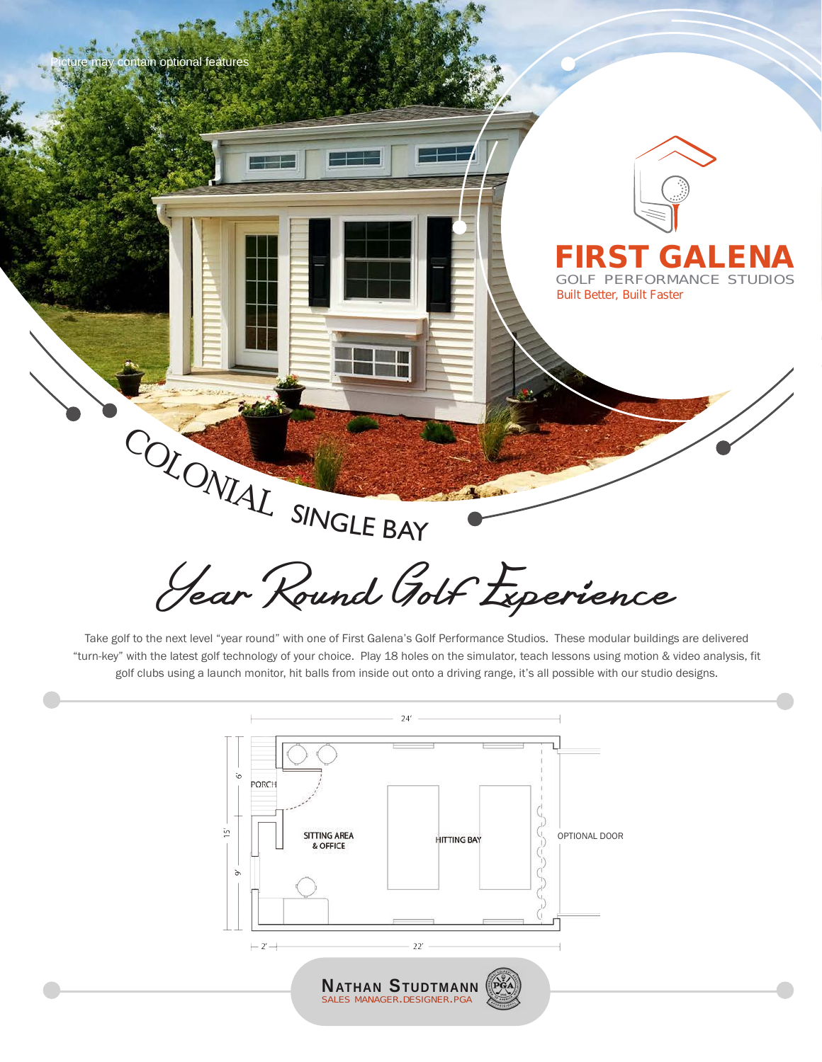

Take golf to the next level "year round" with one of First Galena's Golf Performance Studios. These modular buildings are delivered "turn-key" with the latest golf technology of your choice. Play 18 holes on the simulator, teach lessons using motion & video analysis, fit golf clubs using a launch monitor, hit balls from inside out onto a driving range, it's all possible with our studio designs.